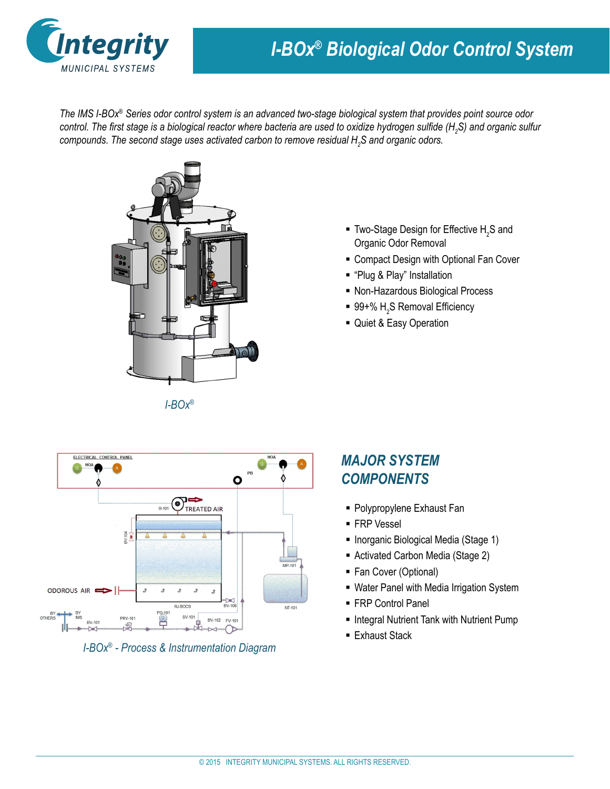

# *I-BOx® Biological Odor Control System*

*The IMS I-BOx® Series odor control system is an advanced two-stage biological system that provides point source odor control. The first stage is a biological reactor where bacteria are used to oxidize hydrogen sulfide (H<sup>2</sup> S) and organic sulfur compounds. The second stage uses activated carbon to remove residual H<sup>2</sup> S and organic odors.*



*I-BOx®*

- **Two-Stage Design for Effective H<sub>2</sub>S and** Organic Odor Removal
- **EX Compact Design with Optional Fan Cover**
- "Plug & Play" Installation
- Non-Hazardous Biological Process
- 99+%  $\mathsf{H}_2$ S Removal Efficiency
- Quiet & Easy Operation



*I-BOx® - Process & Instrumentation Diagram* 

## *MAJOR SYSTEM COMPONENTS*

- Polypropylene Exhaust Fan
- **FRP Vessel**
- **Inorganic Biological Media (Stage 1)**
- Activated Carbon Media (Stage 2)
- Fan Cover (Optional)
- Water Panel with Media Irrigation System
- FRP Control Panel
- **Integral Nutrient Tank with Nutrient Pump**
- **Exhaust Stack**